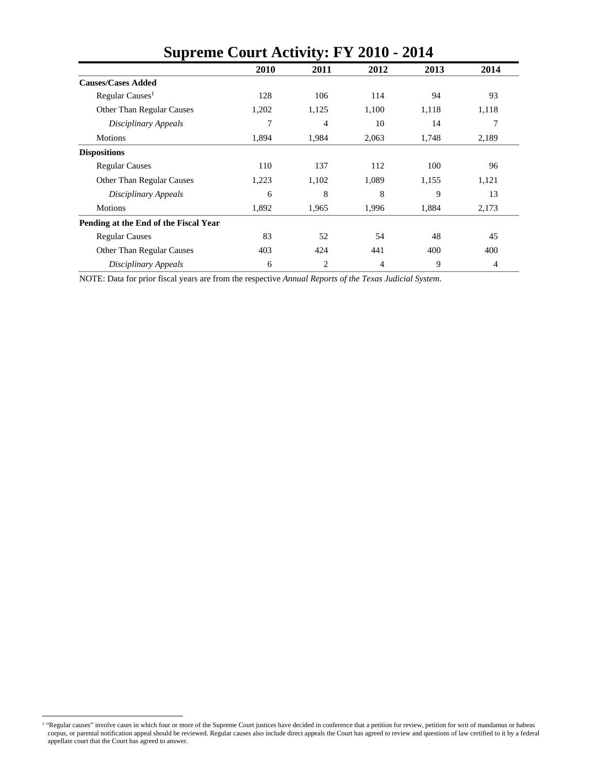| <b>Supreme Court Activity: FY 2010 - 2014</b> |       |       |       |       |       |  |  |  |  |
|-----------------------------------------------|-------|-------|-------|-------|-------|--|--|--|--|
|                                               | 2010  | 2011  | 2012  | 2013  | 2014  |  |  |  |  |
| <b>Causes/Cases Added</b>                     |       |       |       |       |       |  |  |  |  |
| Regular Causes <sup>1</sup>                   | 128   | 106   | 114   | 94    | 93    |  |  |  |  |
| Other Than Regular Causes                     | 1,202 | 1,125 | 1,100 | 1,118 | 1,118 |  |  |  |  |
| Disciplinary Appeals                          | 7     | 4     | 10    | 14    | 7     |  |  |  |  |
| Motions                                       | 1,894 | 1,984 | 2,063 | 1,748 | 2,189 |  |  |  |  |
| <b>Dispositions</b>                           |       |       |       |       |       |  |  |  |  |
| <b>Regular Causes</b>                         | 110   | 137   | 112   | 100   | 96    |  |  |  |  |
| Other Than Regular Causes                     | 1,223 | 1,102 | 1,089 | 1,155 | 1,121 |  |  |  |  |
| Disciplinary Appeals                          | 6     | 8     | 8     | 9     | 13    |  |  |  |  |
| Motions                                       | 1,892 | 1,965 | 1,996 | 1,884 | 2,173 |  |  |  |  |
| Pending at the End of the Fiscal Year         |       |       |       |       |       |  |  |  |  |
| <b>Regular Causes</b>                         | 83    | 52    | 54    | 48    | 45    |  |  |  |  |
| Other Than Regular Causes                     | 403   | 424   | 441   | 400   | 400   |  |  |  |  |
| Disciplinary Appeals                          | 6     | 2     | 4     | 9     | 4     |  |  |  |  |

NOTE: Data for prior fiscal years are from the respective *Annual Reports of the Texas Judicial System*.

<sup>1 &</sup>quot;Regular causes" involve cases in which four or more of the Supreme Court justices have decided in conference that a petition for review, petition for writ of mandamus or habeas corpus, or parental notification appeal should be reviewed. Regular causes also include direct appeals the Court has agreed to review and questions of law certified to it by a federal appellate court that the Court has agreed to answer.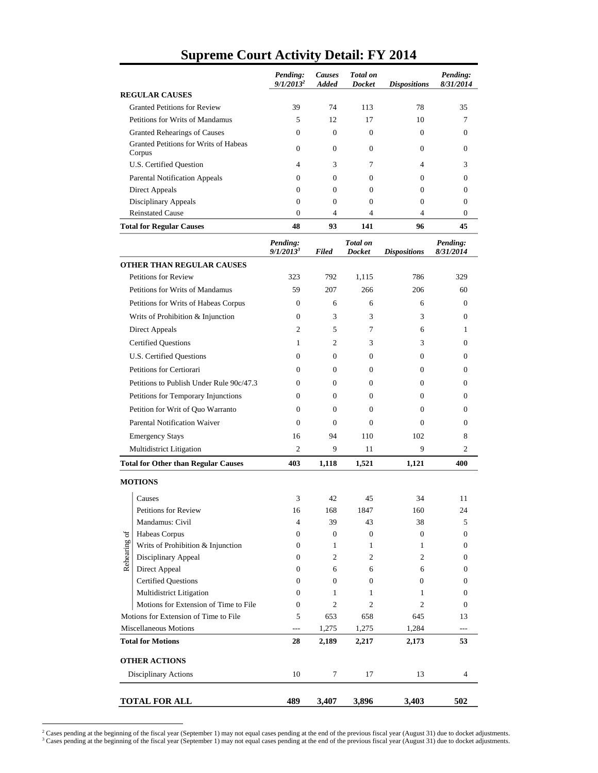|                                 |                                                 | Pending:<br>$9/1/2013^2$ | <b>Causes</b><br><b>Added</b> | <b>Total</b> on<br><b>Docket</b> | <b>Dispositions</b> | Pending:<br>8/31/2014 |
|---------------------------------|-------------------------------------------------|--------------------------|-------------------------------|----------------------------------|---------------------|-----------------------|
|                                 | <b>REGULAR CAUSES</b>                           |                          |                               |                                  |                     |                       |
|                                 | <b>Granted Petitions for Review</b>             | 39                       | 74                            | 113                              | 78                  | 35                    |
|                                 | Petitions for Writs of Mandamus                 | 5                        | 12                            | 17                               | 10                  | 7                     |
|                                 | <b>Granted Rehearings of Causes</b>             | $\Omega$                 | $\Omega$                      | $\mathbf{0}$                     | $\Omega$            | 0                     |
|                                 | Granted Petitions for Writs of Habeas<br>Corpus | $\Omega$                 | $\mathbf{0}$                  | $\overline{0}$                   | $\mathbf{0}$        | $\boldsymbol{0}$      |
|                                 | U.S. Certified Question                         | 4                        | 3                             | 7                                | $\overline{4}$      | 3                     |
|                                 | <b>Parental Notification Appeals</b>            | $\overline{0}$           | $\overline{0}$                | $\mathbf{0}$                     | $\mathbf{0}$        | $\Omega$              |
|                                 | Direct Appeals                                  | $\Omega$                 | $\Omega$                      | $\Omega$                         | 0                   | $\Omega$              |
|                                 | <b>Disciplinary Appeals</b>                     | $\mathbf{0}$             | $\overline{0}$                | $\mathbf{0}$                     | $\mathbf{0}$        | $\theta$              |
|                                 | <b>Reinstated Cause</b>                         | $\mathbf{0}$             | $\overline{4}$                | $\overline{4}$                   | $\overline{4}$      | $\theta$              |
|                                 | <b>Total for Regular Causes</b>                 | 48                       | 93                            | 141                              | 96                  | 45                    |
|                                 |                                                 | Pending:<br>$9/1/2013^3$ | <b>Filed</b>                  | <b>Total</b> on<br><b>Docket</b> | <b>Dispositions</b> | Pending:<br>8/31/2014 |
|                                 | OTHER THAN REGULAR CAUSES                       |                          |                               |                                  |                     |                       |
|                                 | <b>Petitions for Review</b>                     | 323                      | 792                           | 1,115                            | 786                 | 329                   |
|                                 | Petitions for Writs of Mandamus                 | 59                       | 207                           | 266                              | 206                 | 60                    |
|                                 | Petitions for Writs of Habeas Corpus            | $\mathbf{0}$             | 6                             | 6                                | 6                   | 0                     |
|                                 | Writs of Prohibition & Injunction               | $\Omega$                 | 3                             | 3                                | 3                   | 0                     |
|                                 | Direct Appeals                                  | $\overline{c}$           | 5                             | 7                                | 6                   | 1                     |
|                                 | <b>Certified Questions</b>                      | 1                        | 2                             | 3                                | 3                   | $\Omega$              |
| <b>U.S. Certified Questions</b> |                                                 | $\Omega$                 | $\mathbf{0}$                  | $\overline{0}$                   | $\mathbf{0}$        | $\Omega$              |
|                                 | Petitions for Certiorari                        | $\Omega$                 | 0                             | $\mathbf{0}$                     | $\mathbf{0}$        | 0                     |
|                                 | Petitions to Publish Under Rule 90c/47.3        | $\Omega$                 | 0                             | 0                                | $\Omega$            | $\Omega$              |
|                                 | Petitions for Temporary Injunctions             | $\Omega$                 | $\overline{0}$                | $\Omega$                         | $\Omega$            | $\Omega$              |
|                                 | Petition for Writ of Quo Warranto               | $\Omega$                 | $\overline{0}$                | $\mathbf{0}$                     | $\Omega$            | $\Omega$              |
|                                 | <b>Parental Notification Waiver</b>             | $\Omega$                 | $\Omega$                      | $\Omega$                         | $\Omega$            | $\Omega$              |
|                                 | <b>Emergency Stays</b>                          | 16                       | 94                            | 110                              | 102                 | 8                     |
|                                 | Multidistrict Litigation                        | $\overline{c}$           | 9                             | 11                               | 9                   | 2                     |
|                                 | <b>Total for Other than Regular Causes</b>      | 403                      | 1,118                         | 1,521                            | 1,121               | 400                   |
|                                 | <b>MOTIONS</b>                                  |                          |                               |                                  |                     |                       |
|                                 |                                                 |                          |                               |                                  |                     |                       |
|                                 | Causes                                          | 3                        | 42                            | 45                               | 34                  | 11                    |
|                                 | Petitions for Review                            | 16                       | 168                           | 1847                             | 160<br>38           | 24                    |
|                                 | Mandamus: Civil<br>Habeas Corpus                | 4<br>$\mathbf{0}$        | 39<br>0                       | 43<br>$\boldsymbol{0}$           | $\boldsymbol{0}$    | 5<br>$\boldsymbol{0}$ |
| Rehearing of                    | Writs of Prohibition & Injunction               | $\overline{0}$           | $\mathbf{1}$                  | 1                                | $\mathbf{1}$        | $\boldsymbol{0}$      |
|                                 | Disciplinary Appeal                             | $\overline{0}$           | 2                             | 2                                | 2                   | $\boldsymbol{0}$      |
|                                 | Direct Appeal                                   | $\overline{0}$           | 6                             | 6                                | 6                   | $\boldsymbol{0}$      |
|                                 | <b>Certified Questions</b>                      | $\overline{0}$           | $\overline{0}$                | $\mathbf{0}$                     | 0                   | $\boldsymbol{0}$      |
|                                 | Multidistrict Litigation                        | $\overline{0}$           | 1                             | 1                                | $\mathbf{1}$        | $\boldsymbol{0}$      |
|                                 | Motions for Extension of Time to File           | $\mathbf{0}$             | $\mathfrak{2}$                | $\overline{c}$                   | $\overline{c}$      | $\mathbf{0}$          |
|                                 | Motions for Extension of Time to File           | 5                        | 653                           | 658                              | 645                 | 13                    |
|                                 | Miscellaneous Motions                           | $\overline{a}$           | 1,275                         | 1,275                            | 1,284               | $---$                 |
|                                 | <b>Total for Motions</b>                        | 28                       | 2,189                         | 2,217                            | 2,173               | 53                    |
|                                 | <b>OTHER ACTIONS</b>                            |                          |                               |                                  |                     |                       |
|                                 | Disciplinary Actions                            | 10                       | 7                             | 17                               | 13                  | 4                     |
|                                 | <b>TOTAL FOR ALL</b>                            | 489                      | 3,407                         | 3,896                            | 3,403               | 502                   |

#### **Supreme Court Activity Detail: FY 2014**

<sup>2&</sup>lt;br>Cases pending at the beginning of the fiscal year (September 1) may not equal cases pending at the end of the previous fiscal year (August 31) due to docket adjustments.<br><sup>3</sup> Cases pending at the beginning of the fiscal y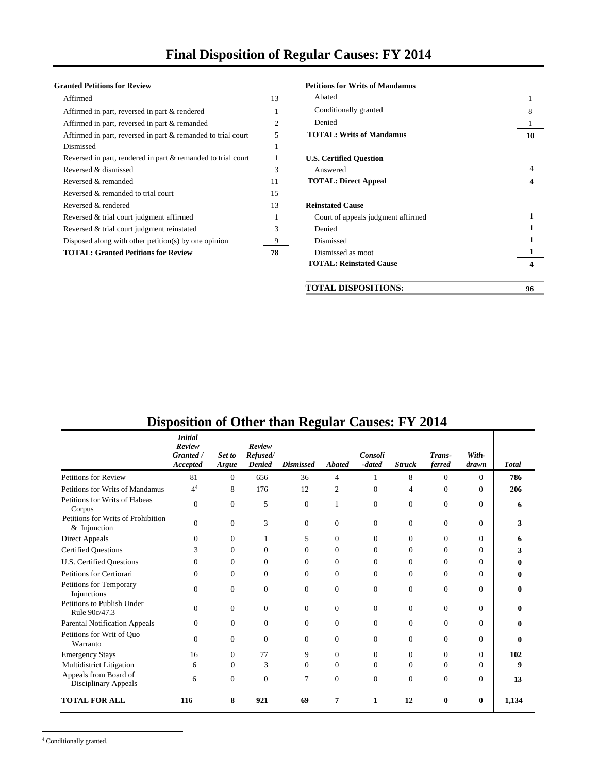# **Final Disposition of Regular Causes: FY 2014**

#### **Granted Petitions for Review**

| Affirmed                                                     | 13 | Abated                         |
|--------------------------------------------------------------|----|--------------------------------|
| Affirmed in part, reversed in part & rendered                | 1  | Conditionally granted          |
| Affirmed in part, reversed in part & remanded                | 2  | Denied                         |
| Affirmed in part, reversed in part & remanded to trial court | 5  | <b>TOTAL: Writs of Man</b>     |
| Dismissed                                                    | 1  |                                |
| Reversed in part, rendered in part & remanded to trial court | 1  | <b>U.S. Certified Question</b> |
| Reversed & dismissed                                         | 3  | Answered                       |
| Reversed & remanded                                          | 11 | <b>TOTAL: Direct Appeal</b>    |
| Reversed & remanded to trial court                           | 15 |                                |
| Reversed & rendered                                          | 13 | <b>Reinstated Cause</b>        |
| Reversed & trial court judgment affirmed                     | 1  | Court of appeals judge         |
| Reversed & trial court judgment reinstated                   | 3  | Denied                         |
| Disposed along with other petition(s) by one opinion         | 9  | Dismissed                      |
| <b>TOTAL: Granted Petitions for Review</b>                   | 78 | Dismissed as moot              |
|                                                              |    |                                |

| anted Petitions for Review                                   |    | <b>Petitions for Writs of Mandamus</b> |    |
|--------------------------------------------------------------|----|----------------------------------------|----|
| Affirmed                                                     | 13 | Abated                                 |    |
| Affirmed in part, reversed in part & rendered                |    | Conditionally granted                  |    |
| Affirmed in part, reversed in part & remanded                | 2  | Denied                                 |    |
| Affirmed in part, reversed in part & remanded to trial court |    | <b>TOTAL: Writs of Mandamus</b>        | 10 |
| Dismissed                                                    |    |                                        |    |
| Reversed in part, rendered in part & remanded to trial court |    | <b>U.S. Certified Question</b>         |    |
| Reversed & dismissed                                         | 3  | Answered                               |    |
| Reversed & remanded                                          | 11 | <b>TOTAL: Direct Appeal</b>            | 4  |
| Reversed & remanded to trial court                           | 15 |                                        |    |
| Reversed & rendered                                          | 13 | <b>Reinstated Cause</b>                |    |
| Reversed & trial court judgment affirmed                     |    | Court of appeals judgment affirmed     |    |
| Reversed & trial court judgment reinstated                   | 3  | Denied                                 |    |
| Disposed along with other petition(s) by one opinion         |    | Dismissed                              |    |
| <b>TOTAL: Granted Petitions for Review</b>                   | 78 | Dismissed as moot                      |    |
|                                                              |    | <b>TOTAL: Reinstated Cause</b>         | 4  |
|                                                              |    | <b>TOTAL DISPOSITIONS:</b>             | 96 |

|                                                      | <b>Initial</b><br>Review<br>Granted /<br>Accepted | Set to<br>Argue | Review<br>Refused/<br>Denied | ະອີ<br><b>Dismissed</b> | <b>Abated</b>  | Consoli<br>-dated | <b>Struck</b>  | Trans-<br>ferred | With-<br>drawn | <b>Total</b> |
|------------------------------------------------------|---------------------------------------------------|-----------------|------------------------------|-------------------------|----------------|-------------------|----------------|------------------|----------------|--------------|
| Petitions for Review                                 | 81                                                | $\mathbf{0}$    | 656                          | 36                      | 4              |                   | 8              | $\Omega$         | $\Omega$       | 786          |
| Petitions for Writs of Mandamus                      | 4 <sup>4</sup>                                    | 8               | 176                          | 12                      | $\overline{c}$ | $\Omega$          | 4              | $\Omega$         | $\Omega$       | 206          |
| Petitions for Writs of Habeas<br>Corpus              | $\overline{0}$                                    | $\mathbf{0}$    | 5                            | $\theta$                | 1              | $\Omega$          | $\overline{0}$ | $\mathbf{0}$     | $\overline{0}$ | 6            |
| Petitions for Writs of Prohibition<br>$&$ Injunction | $\Omega$                                          | $\mathbf{0}$    | 3                            | $\Omega$                | $\Omega$       | $\Omega$          | $\Omega$       | $\Omega$         | $\overline{0}$ | 3            |
| Direct Appeals                                       | $\Omega$                                          | $\theta$        |                              | 5                       | $\Omega$       | $\Omega$          | $\overline{0}$ | $\Omega$         | $\mathbf{0}$   | 6            |
| <b>Certified Questions</b>                           | 3                                                 | $\Omega$        | $\Omega$                     | $\Omega$                | $\Omega$       | $\Omega$          | $\Omega$       | $\Omega$         | $\Omega$       | 3            |
| U.S. Certified Questions                             | $\Omega$                                          | $\Omega$        | $\overline{0}$               | $\Omega$                | $\Omega$       | $\Omega$          | $\Omega$       | $\Omega$         | $\Omega$       | 0            |
| Petitions for Certiorari                             | $\Omega$                                          | $\mathbf{0}$    | $\overline{0}$               | $\Omega$                | $\Omega$       | $\Omega$          | 0              | $\Omega$         | $\mathbf{0}$   | 0            |
| Petitions for Temporary<br>Injunctions               | $\theta$                                          | $\mathbf{0}$    | $\mathbf{0}$                 | $\Omega$                | $\Omega$       | $\Omega$          | $\overline{0}$ | $\overline{0}$   | $\overline{0}$ | 0            |
| Petitions to Publish Under<br>Rule 90c/47.3          | $\Omega$                                          | $\mathbf{0}$    | $\mathbf{0}$                 | $\Omega$                | $\Omega$       | $\Omega$          | $\Omega$       | $\Omega$         | $\overline{0}$ | 0            |
| <b>Parental Notification Appeals</b>                 | $\Omega$                                          | $\theta$        | $\overline{0}$               | $\Omega$                | $\Omega$       | $\Omega$          | $\overline{0}$ | $\Omega$         | $\mathbf{0}$   | 0            |
| Petitions for Writ of Ouo<br>Warranto                | $\Omega$                                          | $\mathbf{0}$    | $\mathbf{0}$                 | $\Omega$                | $\Omega$       | $\Omega$          | 0              | $\Omega$         | $\overline{0}$ | 0            |
| <b>Emergency Stays</b>                               | 16                                                | $\Omega$        | 77                           | 9                       | $\Omega$       | $\Omega$          | 0              | $\Omega$         | $\mathbf{0}$   | 102          |
| Multidistrict Litigation                             | 6                                                 | $\Omega$        | 3                            | $\Omega$                | $\Omega$       | $\Omega$          | $\Omega$       | $\Omega$         | $\Omega$       | 9            |
| Appeals from Board of<br>Disciplinary Appeals        | 6                                                 | $\mathbf{0}$    | $\mathbf{0}$                 | $\overline{7}$          | $\mathbf{0}$   | $\overline{0}$    | $\overline{0}$ | $\theta$         | $\overline{0}$ | 13           |
| <b>TOTAL FOR ALL</b>                                 | 116                                               | 8               | 921                          | 69                      | 7              | 1                 | 12             | 0                | $\bf{0}$       | 1,134        |

# **Disposition of Other than Regular Causes: FY 2014**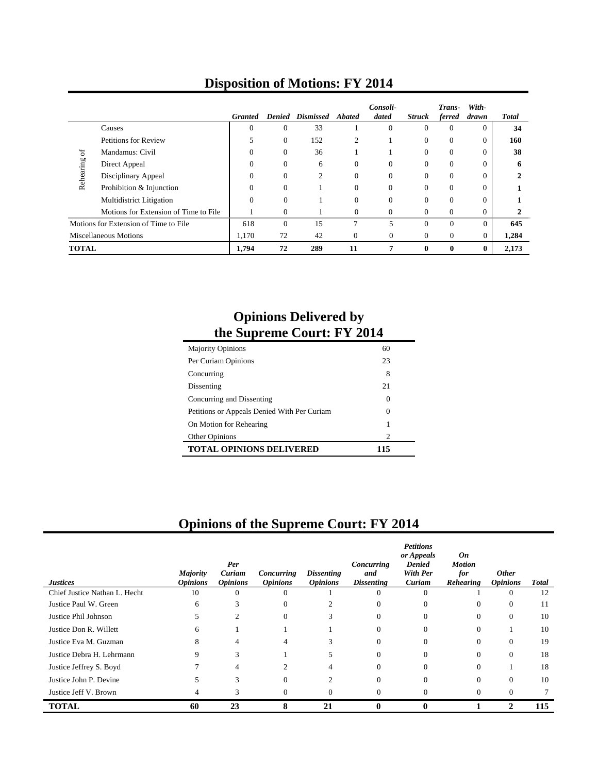|                                                   |                                       | <b>Granted</b> |                | <b>Denied Dismissed Abated</b> |                | Consoli-<br>dated | <b>Struck</b>  | Trans-<br>ferred | With-<br>drawn | <b>Total</b> |
|---------------------------------------------------|---------------------------------------|----------------|----------------|--------------------------------|----------------|-------------------|----------------|------------------|----------------|--------------|
|                                                   | Causes                                | $\Omega$       | $\Omega$       | 33                             |                | $\Omega$          | $\theta$       | $\Omega$         | $\Omega$       | 34           |
| <b>Petitions for Review</b>                       |                                       |                | $\Omega$       | 152                            | $\overline{c}$ |                   | $\Omega$       | $\Omega$         | $\Omega$       | 160          |
| $\sigma$                                          | Mandamus: Civil                       |                | $\Omega$       | 36                             |                |                   | $\Omega$       | $\Omega$         |                | 38           |
| Rehearing<br>Direct Appeal<br>Disciplinary Appeal | $\Omega$                              | $\Omega$       | 6              | $\Omega$                       | $\Omega$       | $\Omega$          | $\Omega$       | $\Omega$         | 6              |              |
|                                                   |                                       | $\Omega$       | $\overline{c}$ | $\Omega$                       | $\Omega$       | $\Omega$          | $\Omega$       | $\Omega$         |                |              |
|                                                   | Prohibition & Injunction              | $\Omega$       | $\Omega$       |                                | $\Omega$       | $\Omega$          | $\Omega$       | $\Omega$         | $\Omega$       |              |
|                                                   | Multidistrict Litigation              | $\Omega$       | $\Omega$       |                                | $\Omega$       | $\Omega$          | $\Omega$       | $\Omega$         | $\Omega$       |              |
|                                                   | Motions for Extension of Time to File |                | $\Omega$       |                                | $\Omega$       | $\Omega$          | $\Omega$       | $\Omega$         | $\Omega$       |              |
|                                                   | Motions for Extension of Time to File | 618            | $\Omega$       | 15                             | $\mathcal{I}$  | 5                 | $\Omega$       | $\Omega$         | $\Omega$       | 645          |
| <b>Miscellaneous Motions</b>                      |                                       | 1,170          | 72             | 42                             | $\overline{0}$ | $\overline{0}$    | $\overline{0}$ | $\mathbf{0}$     | $\Omega$       | 1,284        |
| <b>TOTAL</b>                                      |                                       | 1,794          | 72             | 289                            | 11             | 7                 | $\bf{0}$       | $\bf{0}$         | 0              | 2,173        |

# **Disposition of Motions: FY 2014**

#### **Opinions Delivered by the Supreme Court: FY 2014**

| <b>Majority Opinions</b>                    | 60                          |
|---------------------------------------------|-----------------------------|
| Per Curiam Opinions                         | 23                          |
| Concurring                                  | 8                           |
| Dissenting                                  | 21                          |
| Concurring and Dissenting                   | 0                           |
| Petitions or Appeals Denied With Per Curiam | 0                           |
| On Motion for Rehearing                     |                             |
| Other Opinions                              | $\mathcal{D}_{\mathcal{L}}$ |
| <b>TOTAL OPINIONS DELIVERED</b>             | 115                         |

# **Opinions of the Supreme Court: FY 2014**

| <b>Justices</b>               | <b>Majority</b><br><b>Opinions</b> | Per<br>Curiam<br><b>Opinions</b> | Concurring<br><b>Opinions</b> | <i>Dissenting</i><br><i><b>Opinions</b></i> | Concurring<br>and<br><b>Dissenting</b> | <b>Petitions</b><br>or Appeals<br><b>Denied</b><br><b>With Per</b><br>Curiam | On<br><b>Motion</b><br>for<br>Rehearing | <b>Other</b><br><b>Opinions</b> | <b>Total</b> |
|-------------------------------|------------------------------------|----------------------------------|-------------------------------|---------------------------------------------|----------------------------------------|------------------------------------------------------------------------------|-----------------------------------------|---------------------------------|--------------|
| Chief Justice Nathan L. Hecht | 10                                 | $\theta$                         | $\Omega$                      |                                             | $\Omega$                               |                                                                              |                                         | $\Omega$                        | 12           |
| Justice Paul W. Green         | 6                                  | h                                | $\Omega$                      |                                             | $\Omega$                               | 0                                                                            | $\theta$                                | $\Omega$                        | 11           |
| Justice Phil Johnson          | 5                                  | 2                                | $\Omega$                      |                                             | $\Omega$                               | 0                                                                            | $\theta$                                | $\Omega$                        | 10           |
| Justice Don R. Willett        | 6                                  |                                  |                               |                                             | $\Omega$                               |                                                                              |                                         |                                 | 10           |
| Justice Eva M. Guzman         | 8                                  |                                  |                               |                                             | 0                                      |                                                                              |                                         | $\Omega$                        | 19           |
| Justice Debra H. Lehrmann     | 9                                  | 3                                |                               |                                             | $\Omega$                               | 0                                                                            | $\Omega$                                | $\Omega$                        | 18           |
| Justice Jeffrey S. Boyd       |                                    | 4                                |                               |                                             | 0                                      |                                                                              | 0                                       |                                 | 18           |
| Justice John P. Devine        | 5                                  |                                  | $\Omega$                      |                                             | $\Omega$                               | 0                                                                            | 0                                       | $\mathbf{0}$                    | 10           |
| Justice Jeff V. Brown         | 4                                  |                                  | $\Omega$                      |                                             |                                        |                                                                              |                                         | $\Omega$                        |              |
| <b>TOTAL</b>                  | 60                                 | 23                               | 8                             | 21                                          |                                        |                                                                              |                                         | 2                               | 115          |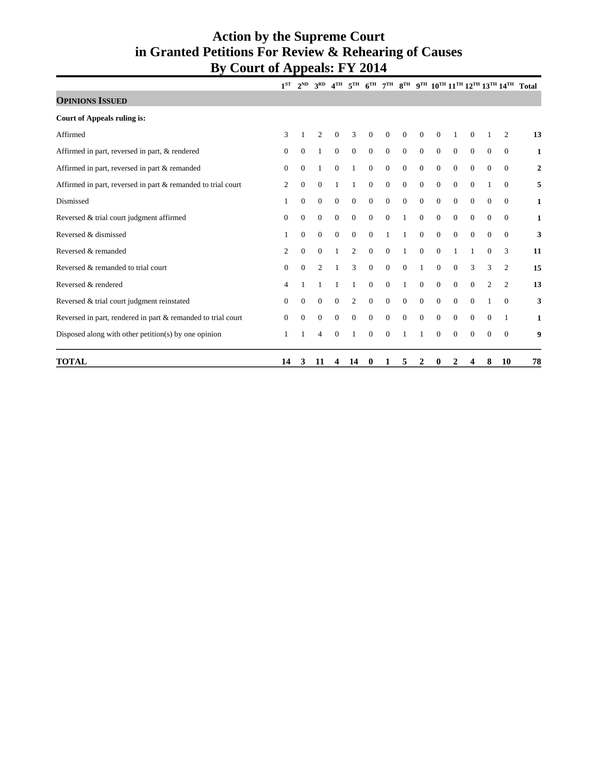#### **Action by the Supreme Court in Granted Petitions For Review & Rehearing of Causes By Court of Appeals: FY 2014**

|                                                              |              |                | $1^{ST}$ $2^{ND}$ $3^{RD}$ |                |                |                |                |              |                |                |              |                |                |                | 4 <sup>TH</sup> 5 <sup>TH</sup> 6 <sup>TH</sup> 7 <sup>TH</sup> 8 <sup>TH</sup> 9 <sup>TH</sup> 10 <sup>TH</sup> 11 <sup>TH</sup> 12 <sup>TH</sup> 13 <sup>TH</sup> 14 <sup>TH</sup> Total |
|--------------------------------------------------------------|--------------|----------------|----------------------------|----------------|----------------|----------------|----------------|--------------|----------------|----------------|--------------|----------------|----------------|----------------|--------------------------------------------------------------------------------------------------------------------------------------------------------------------------------------------|
| <b>OPINIONS ISSUED</b>                                       |              |                |                            |                |                |                |                |              |                |                |              |                |                |                |                                                                                                                                                                                            |
| <b>Court of Appeals ruling is:</b>                           |              |                |                            |                |                |                |                |              |                |                |              |                |                |                |                                                                                                                                                                                            |
| Affirmed                                                     | 3            |                | $\overline{c}$             | $\overline{0}$ | 3              | $\overline{0}$ | $\overline{0}$ | $\theta$     | $\overline{0}$ | $\overline{0}$ |              | $\Omega$       |                | 2              | 13                                                                                                                                                                                         |
| Affirmed in part, reversed in part, & rendered               | $\mathbf{0}$ | $\Omega$       | 1                          | $\overline{0}$ | $\overline{0}$ | $\overline{0}$ | $\overline{0}$ | $\theta$     | $\overline{0}$ | $\overline{0}$ | $\mathbf{0}$ | $\mathbf{0}$   | $\theta$       | $\Omega$       | 1                                                                                                                                                                                          |
| Affirmed in part, reversed in part & remanded                | $\Omega$     | $\theta$       | 1                          | $\mathbf{0}$   | 1              | $\overline{0}$ | $\mathbf{0}$   | $\mathbf{0}$ | $\theta$       | $\overline{0}$ | $\mathbf{0}$ | $\overline{0}$ | $\Omega$       | $\Omega$       | $\overline{2}$                                                                                                                                                                             |
| Affirmed in part, reversed in part & remanded to trial court |              | $\theta$       | $\Omega$                   | 1              | 1              | $\overline{0}$ | $\mathbf{0}$   | $\mathbf{0}$ | $\overline{0}$ | $\overline{0}$ | $\mathbf{0}$ | $\Omega$       |                | $\Omega$       | 5                                                                                                                                                                                          |
| Dismissed                                                    |              | $\mathbf{0}$   | $\mathbf{0}$               | $\mathbf{0}$   | $\mathbf{0}$   | $\overline{0}$ | $\theta$       | $\theta$     | $\theta$       | $\overline{0}$ | $\mathbf{0}$ | $\theta$       | $\theta$       | $\mathbf{0}$   | $\mathbf{1}$                                                                                                                                                                               |
| Reversed & trial court judgment affirmed                     | $\mathbf{0}$ | $\overline{0}$ | $\theta$                   | $\mathbf{0}$   | $\theta$       | $\overline{0}$ | $\mathbf{0}$   | $\mathbf{1}$ | $\overline{0}$ | $\overline{0}$ | $\mathbf{0}$ | $\overline{0}$ | $\mathbf{0}$   | $\mathbf{0}$   | 1                                                                                                                                                                                          |
| Reversed & dismissed                                         | 1            | $\mathbf{0}$   | $\overline{0}$             | $\mathbf{0}$   | $\mathbf{0}$   | $\overline{0}$ | 1              | 1            | $\overline{0}$ | $\overline{0}$ | $\mathbf{0}$ | $\overline{0}$ | $\overline{0}$ | $\Omega$       | 3                                                                                                                                                                                          |
| Reversed & remanded                                          | 2            | $\mathbf{0}$   | $\overline{0}$             | 1              | $\overline{2}$ | $\overline{0}$ | $\theta$       | $\mathbf{1}$ | $\theta$       | $\overline{0}$ | 1            | 1              | $\Omega$       | 3              | 11                                                                                                                                                                                         |
| Reversed & remanded to trial court                           | $\Omega$     | $\Omega$       | $\overline{c}$             | 1              | 3              | $\overline{0}$ | $\theta$       | $\theta$     | 1              | $\Omega$       | $\mathbf{0}$ | 3              | 3              | $\overline{c}$ | 15                                                                                                                                                                                         |
| Reversed & rendered                                          | 4            |                |                            |                |                | $\Omega$       | $\mathbf{0}$   | 1            | $\theta$       | $\mathbf{0}$   | $\mathbf{0}$ | $\mathbf{0}$   | 2              | 2              | 13                                                                                                                                                                                         |
| Reversed & trial court judgment reinstated                   | $\theta$     | $\mathbf{0}$   | $\mathbf{0}$               | $\mathbf{0}$   | $\overline{2}$ | $\overline{0}$ | $\overline{0}$ | $\theta$     | $\overline{0}$ | $\overline{0}$ | $\mathbf{0}$ | $\overline{0}$ |                | $\Omega$       | 3                                                                                                                                                                                          |
| Reversed in part, rendered in part & remanded to trial court | $\Omega$     | $\Omega$       | $\Omega$                   | $\mathbf{0}$   | $\mathbf{0}$   | $\overline{0}$ | $\mathbf{0}$   | $\theta$     | $\theta$       | $\overline{0}$ | $\mathbf{0}$ | $\Omega$       | $\Omega$       |                | 1                                                                                                                                                                                          |
| Disposed along with other petition(s) by one opinion         |              |                | $\overline{4}$             | $\theta$       |                | $\Omega$       | $\Omega$       |              |                | $\Omega$       | $\Omega$     | $\Omega$       | $\Omega$       | $\Omega$       | 9                                                                                                                                                                                          |
| <b>TOTAL</b>                                                 | 14           | 3              | 11                         | 4              | 14             | $\bf{0}$       | 1              | 5            | 2              | 0              | 2            | 4              | 8              | 10             | 78                                                                                                                                                                                         |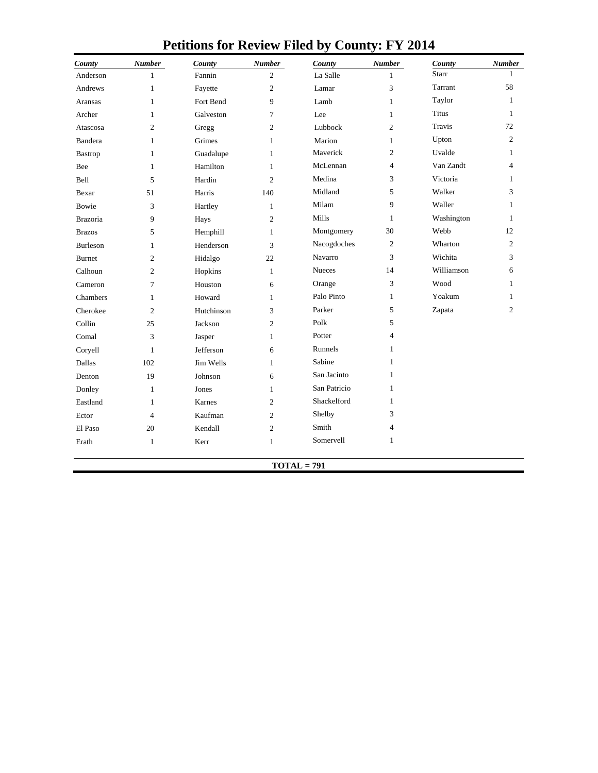| County          | <b>Number</b>  | County     | <b>Number</b>  | County        | <b>Number</b>  | County       | <b>Number</b>  |
|-----------------|----------------|------------|----------------|---------------|----------------|--------------|----------------|
| Anderson        | 1              | Fannin     | $\overline{c}$ | La Salle      | $\mathbf{1}$   | <b>Starr</b> | 1              |
| Andrews         | $\mathbf{1}$   | Fayette    | $\overline{c}$ | Lamar         | 3              | Tarrant      | 58             |
| <b>Aransas</b>  | $\mathbf{1}$   | Fort Bend  | 9              | Lamb          | $\mathbf{1}$   | Taylor       | 1              |
| Archer          | $\mathbf{1}$   | Galveston  | 7              | Lee           | $\mathbf{1}$   | <b>Titus</b> | $\mathbf{1}$   |
| Atascosa        | $\overline{c}$ | Gregg      | $\overline{c}$ | Lubbock       | $\overline{c}$ | Travis       | 72             |
| Bandera         | $\mathbf{1}$   | Grimes     | $\mathbf{1}$   | Marion        | $\mathbf{1}$   | Upton        | $\overline{c}$ |
| Bastrop         | $\mathbf{1}$   | Guadalupe  | $\mathbf{1}$   | Maverick      | $\overline{c}$ | Uvalde       | $\mathbf{1}$   |
| Bee             | $\mathbf{1}$   | Hamilton   | $\mathbf{1}$   | McLennan      | 4              | Van Zandt    | $\overline{4}$ |
| Bell            | 5              | Hardin     | $\overline{c}$ | Medina        | 3              | Victoria     | $\mathbf{1}$   |
| Bexar           | 51             | Harris     | 140            | Midland       | 5              | Walker       | 3              |
| Bowie           | 3              | Hartley    | $\mathbf{1}$   | Milam         | 9              | Waller       | 1              |
| <b>Brazoria</b> | 9              | Hays       | $\overline{c}$ | Mills         | $\mathbf{1}$   | Washington   | $\mathbf{1}$   |
| <b>Brazos</b>   | 5              | Hemphill   | $\mathbf{1}$   | Montgomery    | 30             | Webb         | 12             |
| <b>Burleson</b> | $\mathbf{1}$   | Henderson  | 3              | Nacogdoches   | $\overline{c}$ | Wharton      | $\overline{c}$ |
| <b>Burnet</b>   | $\overline{c}$ | Hidalgo    | 22             | Navarro       | 3              | Wichita      | 3              |
| Calhoun         | $\overline{2}$ | Hopkins    | $\mathbf{1}$   | <b>Nueces</b> | 14             | Williamson   | 6              |
| Cameron         | 7              | Houston    | 6              | Orange        | 3              | Wood         | $\mathbf{1}$   |
| Chambers        | $\mathbf{1}$   | Howard     | $\mathbf{1}$   | Palo Pinto    | $\mathbf{1}$   | Yoakum       | $\mathbf{1}$   |
| Cherokee        | $\overline{c}$ | Hutchinson | 3              | Parker        | 5              | Zapata       | $\overline{c}$ |
| Collin          | 25             | Jackson    | $\overline{c}$ | Polk          | 5              |              |                |
| Comal           | 3              | Jasper     | $\mathbf{1}$   | Potter        | 4              |              |                |
| Coryell         | $\mathbf{1}$   | Jefferson  | 6              | Runnels       | $\mathbf{1}$   |              |                |
| Dallas          | 102            | Jim Wells  | $\mathbf{1}$   | Sabine        | $\mathbf{1}$   |              |                |
| Denton          | 19             | Johnson    | 6              | San Jacinto   | $\mathbf{1}$   |              |                |
| Donley          | $\mathbf{1}$   | Jones      | $\mathbf{1}$   | San Patricio  | $\mathbf{1}$   |              |                |
| Eastland        | $\mathbf{1}$   | Karnes     | $\overline{c}$ | Shackelford   | $\mathbf{1}$   |              |                |
| Ector           | $\overline{4}$ | Kaufman    | $\overline{c}$ | Shelby        | 3              |              |                |
| El Paso         | 20             | Kendall    | $\overline{c}$ | Smith         | $\overline{4}$ |              |                |
| Erath           | $\mathbf{1}$   | Kerr       | $\mathbf{1}$   | Somervell     | $\mathbf{1}$   |              |                |
|                 |                |            |                | $TOTAL = 791$ |                |              |                |